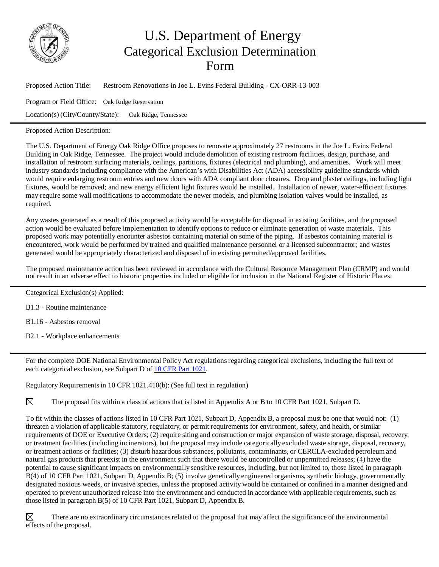

## U.S. Department of Energy Categorical Exclusion Determination Form

Proposed Action Title: Restroom Renovations in Joe L. Evins Federal Building - CX-ORR-13-003 Program or Field Office: Oak Ridge Reservation Location(s) (City/County/State): Oak Ridge, Tennessee

## Proposed Action Description:

The U.S. Department of Energy Oak Ridge Office proposes to renovate approximately 27 restrooms in the Joe L. Evins Federal Building in Oak Ridge, Tennessee. The project would include demolition of existing restroom facilities, design, purchase, and installation of restroom surfacing materials, ceilings, partitions, fixtures (electrical and plumbing), and amenities. Work will meet industry standards including compliance with the American's with Disabilities Act (ADA) accessibility guideline standards which would require enlarging restroom entries and new doors with ADA compliant door closures. Drop and plaster ceilings, including light fixtures, would be removed; and new energy efficient light fixtures would be installed. Installation of newer, water-efficient fixtures may require some wall modifications to accommodate the newer models, and plumbing isolation valves would be installed, as required.

Any wastes generated as a result of this proposed activity would be acceptable for disposal in existing facilities, and the proposed action would be evaluated before implementation to identify options to reduce or eliminate generation of waste materials. This proposed work may potentially encounter asbestos containing material on some of the piping. If asbestos containing material is encountered, work would be performed by trained and qualified maintenance personnel or a licensed subcontractor; and wastes generated would be appropriately characterized and disposed of in existing permitted/approved facilities.

The proposed maintenance action has been reviewed in accordance with the Cultural Resource Management Plan (CRMP) and would not result in an adverse effect to historic properties included or eligible for inclusion in the National Register of Historic Places.

Categorical Exclusion(s) Applied:

B1.3 - Routine maintenance

B1.16 - Asbestos removal

B2.1 - Workplace enhancements

For the complete DOE National Environmental Policy Act regulations regarding categorical exclusions, including the full text of each categorical exclusion, see Subpart D of 10 CFR Part [1021.](http://energy.gov/nepa/downloads/10-cfr-1021-department-energy-national-environmental-policy-act-implementing)

Regulatory Requirements in 10 CFR 1021.410(b): (See full text in regulation)

 $\boxtimes$ The proposal fits within a class of actions that is listed in Appendix A or B to 10 CFR Part 1021, Subpart D.

To fit within the classes of actions listed in 10 CFR Part 1021, Subpart D, Appendix B, a proposal must be one that would not: (1) threaten a violation of applicable statutory, regulatory, or permit requirements for environment, safety, and health, or similar requirements of DOE or Executive Orders; (2) require siting and construction or major expansion of waste storage, disposal, recovery, or treatment facilities (including incinerators), but the proposal may include categorically excluded waste storage, disposal, recovery, or treatment actions or facilities; (3) disturb hazardous substances, pollutants, contaminants, or CERCLA-excluded petroleum and natural gas products that preexist in the environment such that there would be uncontrolled or unpermitted releases; (4) have the potential to cause significant impacts on environmentally sensitive resources, including, but not limited to, those listed in paragraph B(4) of 10 CFR Part 1021, Subpart D, Appendix B; (5) involve genetically engineered organisms, synthetic biology, governmentally designated noxious weeds, or invasive species, unless the proposed activity would be contained or confined in a manner designed and operated to prevent unauthorized release into the environment and conducted in accordance with applicable requirements, such as those listed in paragraph B(5) of 10 CFR Part 1021, Subpart D, Appendix B.

 $\boxtimes$ There are no extraordinary circumstances related to the proposal that may affect the significance of the environmental effects of the proposal.